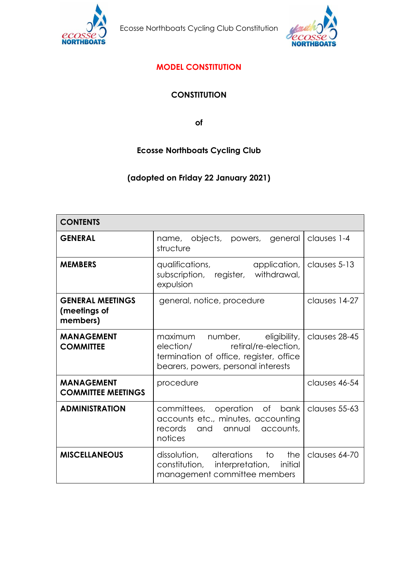

Ecosse Northboats Cycling Club Constitution



# **MODEL CONSTITUTION**

# **CONSTITUTION**

**of**

# **Ecosse Northboats Cycling Club**

# **(adopted on Friday 22 January 2021)**

| <b>CONTENTS</b>                                     |                                                                                                                                                     |               |  |  |
|-----------------------------------------------------|-----------------------------------------------------------------------------------------------------------------------------------------------------|---------------|--|--|
| <b>GENERAL</b>                                      | objects, powers,<br>general<br>name,<br>structure                                                                                                   | clauses 1-4   |  |  |
| <b>MEMBERS</b>                                      | qualifications,<br>application,<br>subscription, register,<br>withdrawal,<br>expulsion                                                              | clauses 5-13  |  |  |
| <b>GENERAL MEETINGS</b><br>(meetings of<br>members) | general, notice, procedure                                                                                                                          | clauses 14-27 |  |  |
| <b>MANAGEMENT</b><br><b>COMMITTEE</b>               | maximum number, eligibility,<br>retiral/re-election,<br>election/<br>termination of office, register, office<br>bearers, powers, personal interests | clauses 28-45 |  |  |
| <b>MANAGEMENT</b><br><b>COMMITTEE MEETINGS</b>      | procedure                                                                                                                                           | clauses 46-54 |  |  |
| <b>ADMINISTRATION</b>                               | committees, operation of bank<br>accounts etc., minutes, accounting<br>records<br>and<br>annual<br>accounts,<br>notices                             | clauses 55-63 |  |  |
| <b>MISCELLANEOUS</b>                                | dissolution, alterations<br>to<br>the<br>constitution, interpretation,<br>initial<br>management committee members                                   | clauses 64-70 |  |  |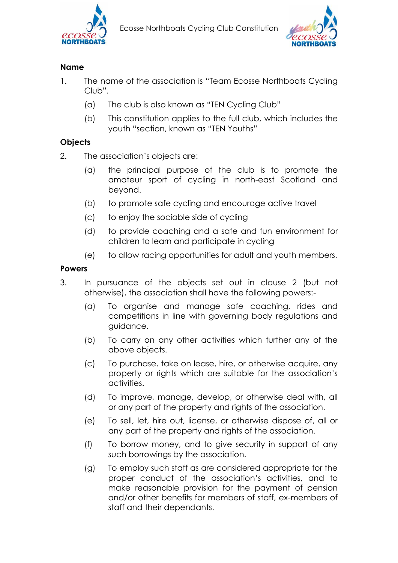



## **Name**

- 1. The name of the association is "Team Ecosse Northboats Cycling Club".
	- (a) The club is also known as "TEN Cycling Club"
	- (b) This constitution applies to the full club, which includes the youth "section, known as "TEN Youths"

# **Objects**

- 2. The association's objects are:
	- (a) the principal purpose of the club is to promote the amateur sport of cycling in north-east Scotland and beyond.
	- (b) to promote safe cycling and encourage active travel
	- (c) to enjoy the sociable side of cycling
	- (d) to provide coaching and a safe and fun environment for children to learn and participate in cycling
	- (e) to allow racing opportunities for adult and youth members.

## **Powers**

- 3. In pursuance of the objects set out in clause 2 (but not otherwise), the association shall have the following powers:-
	- (a) To organise and manage safe coaching, rides and competitions in line with governing body regulations and guidance.
	- (b) To carry on any other activities which further any of the above objects.
	- (c) To purchase, take on lease, hire, or otherwise acquire, any property or rights which are suitable for the association's activities.
	- (d) To improve, manage, develop, or otherwise deal with, all or any part of the property and rights of the association.
	- (e) To sell, let, hire out, license, or otherwise dispose of, all or any part of the property and rights of the association.
	- (f) To borrow money, and to give security in support of any such borrowings by the association.
	- (g) To employ such staff as are considered appropriate for the proper conduct of the association's activities, and to make reasonable provision for the payment of pension and/or other benefits for members of staff, ex-members of staff and their dependants.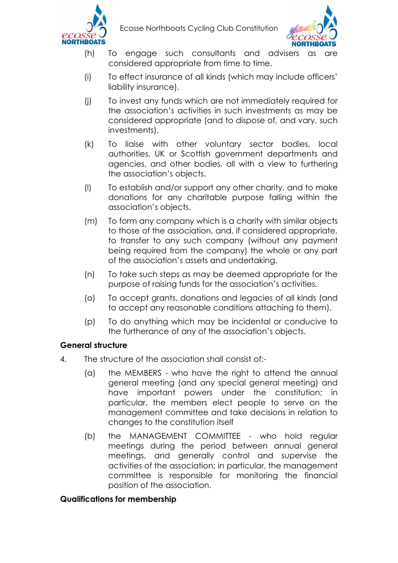



- (h) To engage such consultants and advisers as considered appropriate from time to time.
- (i) To effect insurance of all kinds (which may include officers' liability insurance).
- (j) To invest any funds which are not immediately required for the association's activities in such investments as may be considered appropriate (and to dispose of, and vary, such investments).
- (k) To liaise with other voluntary sector bodies, local authorities, UK or Scottish government departments and agencies, and other bodies, all with a view to furthering the association's objects.
- (l) To establish and/or support any other charity, and to make donations for any charitable purpose falling within the association's objects.
- (m) To form any company which is a charity with similar objects to those of the association, and, if considered appropriate, to transfer to any such company (without any payment being required from the company) the whole or any part of the association's assets and undertaking.
- (n) To take such steps as may be deemed appropriate for the purpose of raising funds for the association's activities.
- (o) To accept grants, donations and legacies of all kinds (and to accept any reasonable conditions attaching to them).
- (p) To do anything which may be incidental or conducive to the furtherance of any of the association's objects.

## **General structure**

- 4. The structure of the association shall consist of:-
	- (a) the MEMBERS who have the right to attend the annual general meeting (and any special general meeting) and have important powers under the constitution; in particular, the members elect people to serve on the management committee and take decisions in relation to changes to the constitution itself
	- (b) the MANAGEMENT COMMITTEE who hold regular meetings during the period between annual general meetings, and generally control and supervise the activities of the association; in particular, the management committee is responsible for monitoring the financial position of the association.

## **Qualifications for membership**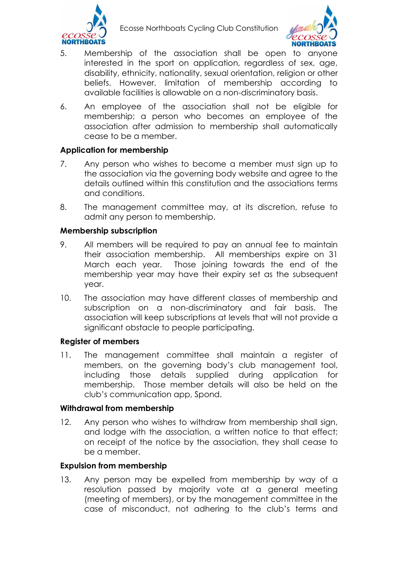

Ecosse Northboats Cycling Club Constitution



- 5. Membership of the association shall be open to anyone interested in the sport on application, reaardless of sex, age, disability, ethnicity, nationality, sexual orientation, religion or other beliefs. However, limitation of membership according to available facilities is allowable on a non-discriminatory basis.
- 6. An employee of the association shall not be eligible for membership; a person who becomes an employee of the association after admission to membership shall automatically cease to be a member.

## **Application for membership**

- 7. Any person who wishes to become a member must sign up to the association via the governing body website and agree to the details outlined within this constitution and the associations terms and conditions.
- 8. The management committee may, at its discretion, refuse to admit any person to membership.

## **Membership subscription**

- 9. All members will be required to pay an annual fee to maintain their association membership. All memberships expire on 31 March each year. Those joining towards the end of the membership year may have their expiry set as the subsequent year.
- 10. The association may have different classes of membership and subscription on a non-discriminatory and fair basis. The association will keep subscriptions at levels that will not provide a significant obstacle to people participating.

### **Register of members**

11. The management committee shall maintain a register of members, on the governing body's club management tool, including those details supplied during application for membership. Those member details will also be held on the club's communication app, Spond.

### **Withdrawal from membership**

12. Any person who wishes to withdraw from membership shall sign, and lodge with the association, a written notice to that effect; on receipt of the notice by the association, they shall cease to be a member.

### **Expulsion from membership**

13. Any person may be expelled from membership by way of a resolution passed by majority vote at a general meeting (meeting of members), or by the management committee in the case of misconduct, not adhering to the club's terms and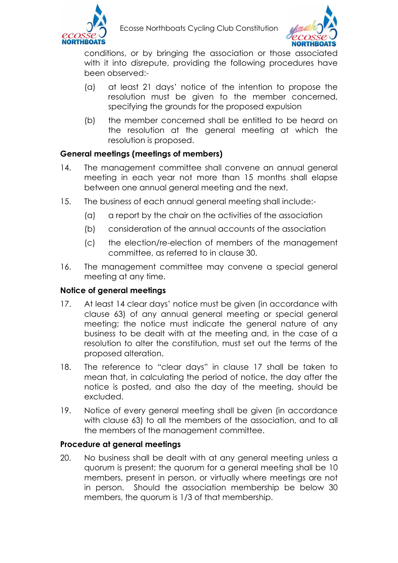



conditions, or by bringing the association or those associated with it into disrepute, providing the following procedures have been observed:-

- (a) at least 21 days' notice of the intention to propose the resolution must be given to the member concerned, specifying the grounds for the proposed expulsion
- (b) the member concerned shall be entitled to be heard on the resolution at the general meeting at which the resolution is proposed.

## **General meetings (meetings of members)**

- 14. The management committee shall convene an annual general meeting in each year not more than 15 months shall elapse between one annual general meeting and the next.
- 15. The business of each annual general meeting shall include:-
	- (a) a report by the chair on the activities of the association
	- (b) consideration of the annual accounts of the association
	- (c) the election/re-election of members of the management committee, as referred to in clause 30.
- 16. The management committee may convene a special general meeting at any time.

### **Notice of general meetings**

- 17. At least 14 clear days' notice must be given (in accordance with clause 63) of any annual general meeting or special general meeting; the notice must indicate the general nature of any business to be dealt with at the meeting and, in the case of a resolution to alter the constitution, must set out the terms of the proposed alteration.
- 18. The reference to "clear days" in clause 17 shall be taken to mean that, in calculating the period of notice, the day after the notice is posted, and also the day of the meeting, should be excluded.
- 19. Notice of every general meeting shall be given (in accordance with clause 63) to all the members of the association, and to all the members of the management committee.

### **Procedure at general meetings**

20. No business shall be dealt with at any general meeting unless a quorum is present; the quorum for a general meeting shall be 10 members, present in person, or virtually where meetings are not in person. Should the association membership be below 30 members, the quorum is 1/3 of that membership.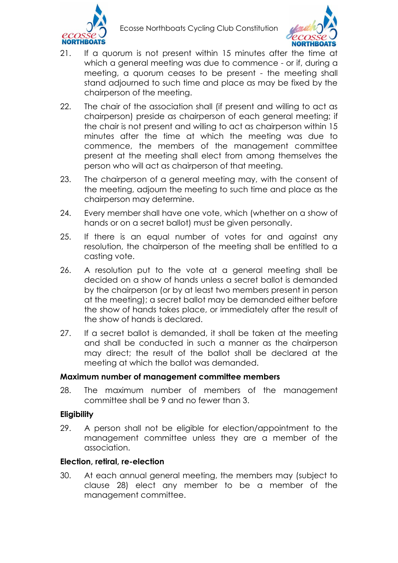



- 21. If a quorum is not present within 15 minutes after the time at which a general meeting was due to commence - or if, during a meeting, a quorum ceases to be present - the meeting shall stand adjourned to such time and place as may be fixed by the chairperson of the meeting.
- 22. The chair of the association shall (if present and willing to act as chairperson) preside as chairperson of each general meeting; if the chair is not present and willing to act as chairperson within 15 minutes after the time at which the meeting was due to commence, the members of the management committee present at the meeting shall elect from among themselves the person who will act as chairperson of that meeting.
- 23. The chairperson of a general meeting may, with the consent of the meeting, adjourn the meeting to such time and place as the chairperson may determine.
- 24. Every member shall have one vote, which (whether on a show of hands or on a secret ballot) must be given personally.
- 25. If there is an equal number of votes for and against any resolution, the chairperson of the meeting shall be entitled to a casting vote.
- 26. A resolution put to the vote at a general meeting shall be decided on a show of hands unless a secret ballot is demanded by the chairperson (or by at least two members present in person at the meeting); a secret ballot may be demanded either before the show of hands takes place, or immediately after the result of the show of hands is declared.
- 27. If a secret ballot is demanded, it shall be taken at the meeting and shall be conducted in such a manner as the chairperson may direct; the result of the ballot shall be declared at the meeting at which the ballot was demanded.

#### **Maximum number of management committee members**

28. The maximum number of members of the management committee shall be 9 and no fewer than 3.

#### **Eligibility**

29. A person shall not be eligible for election/appointment to the management committee unless they are a member of the association.

### **Election, retiral, re-election**

30. At each annual general meeting, the members may (subject to clause 28) elect any member to be a member of the management committee.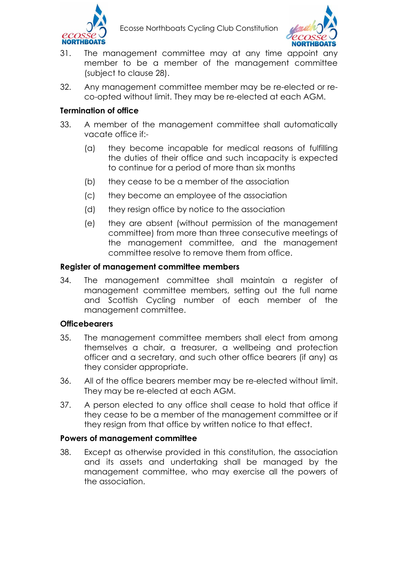



- 31. The management committee may at any time appoint any member to be a member of the management committee (subject to clause 28).
- 32. Any management committee member may be re-elected or reco-opted without limit. They may be re-elected at each AGM.

## **Termination of office**

- 33. A member of the management committee shall automatically vacate office if:-
	- (a) they become incapable for medical reasons of fulfilling the duties of their office and such incapacity is expected to continue for a period of more than six months
	- (b) they cease to be a member of the association
	- (c) they become an employee of the association
	- (d) they resign office by notice to the association
	- (e) they are absent (without permission of the management committee) from more than three consecutive meetings of the management committee, and the management committee resolve to remove them from office.

## **Register of management committee members**

34. The management committee shall maintain a register of management committee members, setting out the full name and Scottish Cycling number of each member of the management committee.

### **Officebearers**

- 35. The management committee members shall elect from among themselves a chair, a treasurer, a wellbeing and protection officer and a secretary, and such other office bearers (if any) as they consider appropriate.
- 36. All of the office bearers member may be re-elected without limit. They may be re-elected at each AGM.
- 37. A person elected to any office shall cease to hold that office if they cease to be a member of the management committee or if they resign from that office by written notice to that effect.

### **Powers of management committee**

38. Except as otherwise provided in this constitution, the association and its assets and undertaking shall be managed by the management committee, who may exercise all the powers of the association.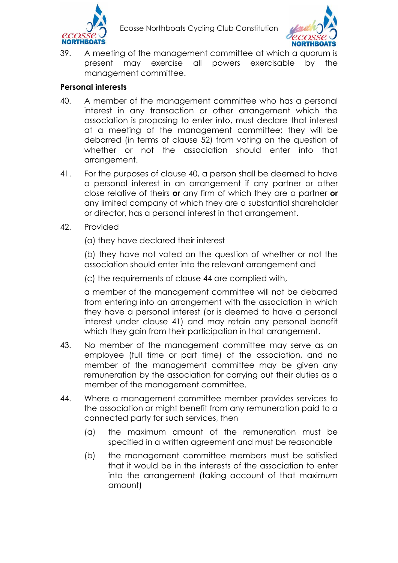



39. A meeting of the management committee at which a quorum is present may exercise all powers exercisable by the management committee.

## **Personal interests**

- 40. A member of the management committee who has a personal interest in any transaction or other arrangement which the association is proposing to enter into, must declare that interest at a meeting of the management committee; they will be debarred (in terms of clause 52) from voting on the question of whether or not the association should enter into that arrangement.
- 41. For the purposes of clause 40, a person shall be deemed to have a personal interest in an arrangement if any partner or other close relative of theirs **or** any firm of which they are a partner **or** any limited company of which they are a substantial shareholder or director, has a personal interest in that arrangement.
- 42. Provided

(a) they have declared their interest

(b) they have not voted on the question of whether or not the association should enter into the relevant arrangement and

(c) the requirements of clause 44 are complied with,

a member of the management committee will not be debarred from entering into an arrangement with the association in which they have a personal interest (or is deemed to have a personal interest under clause 41) and may retain any personal benefit which they gain from their participation in that arrangement.

- 43. No member of the management committee may serve as an employee (full time or part time) of the association, and no member of the management committee may be given any remuneration by the association for carrying out their duties as a member of the management committee.
- 44. Where a management committee member provides services to the association or might benefit from any remuneration paid to a connected party for such services, then
	- (a) the maximum amount of the remuneration must be specified in a written agreement and must be reasonable
	- (b) the management committee members must be satisfied that it would be in the interests of the association to enter into the arrangement (taking account of that maximum amount)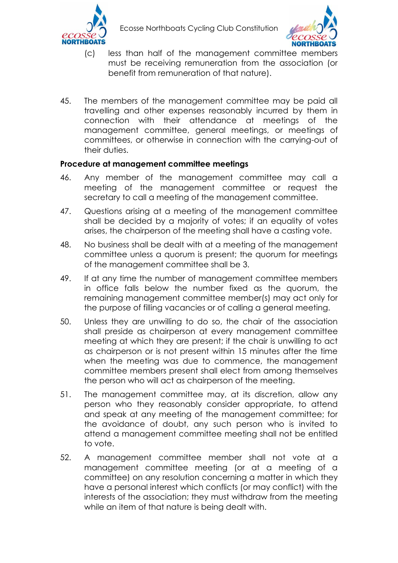



- (c) less than half of the management committee members must be receiving remuneration from the association (or benefit from remuneration of that nature).
- 45. The members of the management committee may be paid all travelling and other expenses reasonably incurred by them in connection with their attendance at meetings of the management committee, general meetings, or meetings of committees, or otherwise in connection with the carrying-out of their duties.

## **Procedure at management committee meetings**

- 46. Any member of the management committee may call a meeting of the management committee or request the secretary to call a meeting of the management committee.
- 47. Questions arising at a meeting of the management committee shall be decided by a majority of votes; if an equality of votes arises, the chairperson of the meeting shall have a casting vote.
- 48. No business shall be dealt with at a meeting of the management committee unless a quorum is present; the quorum for meetings of the management committee shall be 3.
- 49. If at any time the number of management committee members in office falls below the number fixed as the quorum, the remaining management committee member(s) may act only for the purpose of filling vacancies or of calling a general meeting.
- 50. Unless they are unwilling to do so, the chair of the association shall preside as chairperson at every management committee meeting at which they are present; if the chair is unwilling to act as chairperson or is not present within 15 minutes after the time when the meeting was due to commence, the management committee members present shall elect from among themselves the person who will act as chairperson of the meeting.
- 51. The management committee may, at its discretion, allow any person who they reasonably consider appropriate, to attend and speak at any meeting of the management committee; for the avoidance of doubt, any such person who is invited to attend a management committee meeting shall not be entitled to vote.
- 52. A management committee member shall not vote at a management committee meeting (or at a meeting of a committee) on any resolution concerning a matter in which they have a personal interest which conflicts (or may conflict) with the interests of the association; they must withdraw from the meeting while an item of that nature is being dealt with.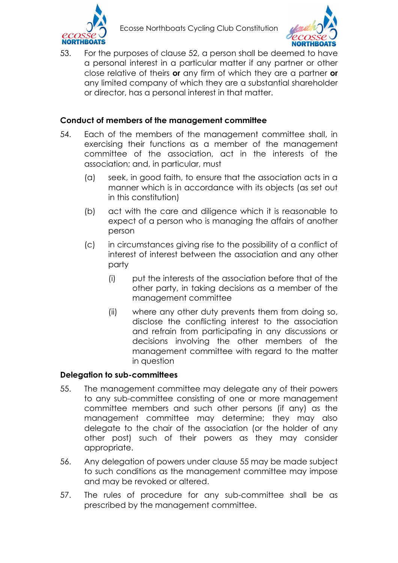



53. For the purposes of clause 52, a person shall be deemed to have a personal interest in a particular matter if any partner or other close relative of theirs **or** any firm of which they are a partner **or** any limited company of which they are a substantial shareholder or director, has a personal interest in that matter.

## **Conduct of members of the management committee**

- 54. Each of the members of the management committee shall, in exercising their functions as a member of the management committee of the association, act in the interests of the association; and, in particular, must
	- (a) seek, in good faith, to ensure that the association acts in a manner which is in accordance with its objects (as set out in this constitution)
	- (b) act with the care and diligence which it is reasonable to expect of a person who is managing the affairs of another person
	- (c) in circumstances giving rise to the possibility of a conflict of interest of interest between the association and any other party
		- (i) put the interests of the association before that of the other party, in taking decisions as a member of the management committee
		- (ii) where any other duty prevents them from doing so, disclose the conflicting interest to the association and refrain from participating in any discussions or decisions involving the other members of the management committee with regard to the matter in question

### **Delegation to sub-committees**

- 55. The management committee may delegate any of their powers to any sub-committee consisting of one or more management committee members and such other persons (if any) as the management committee may determine; they may also delegate to the chair of the association (or the holder of any other post) such of their powers as they may consider appropriate.
- 56. Any delegation of powers under clause 55 may be made subject to such conditions as the management committee may impose and may be revoked or altered.
- 57. The rules of procedure for any sub-committee shall be as prescribed by the management committee.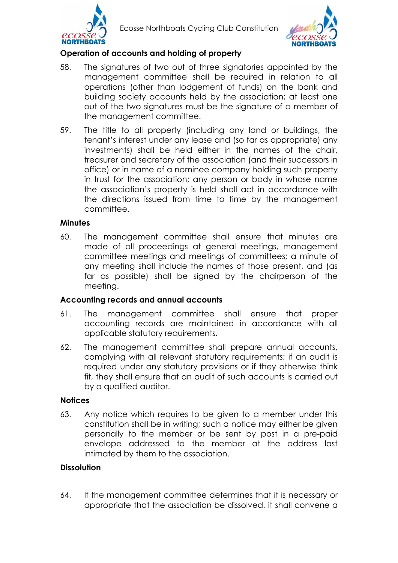



## **Operation of accounts and holding of property**

- 58. The signatures of two out of three signatories appointed by the management committee shall be required in relation to all operations (other than lodgement of funds) on the bank and building society accounts held by the association; at least one out of the two signatures must be the signature of a member of the management committee.
- 59. The title to all property (including any land or buildings, the tenant's interest under any lease and (so far as appropriate) any investments) shall be held either in the names of the chair, treasurer and secretary of the association (and their successors in office) or in name of a nominee company holding such property in trust for the association; any person or body in whose name the association's property is held shall act in accordance with the directions issued from time to time by the management committee.

#### **Minutes**

60. The management committee shall ensure that minutes are made of all proceedings at general meetings, management committee meetings and meetings of committees; a minute of any meeting shall include the names of those present, and (as far as possible) shall be signed by the chairperson of the meeting.

#### **Accounting records and annual accounts**

- 61. The management committee shall ensure that proper accounting records are maintained in accordance with all applicable statutory requirements.
- 62. The management committee shall prepare annual accounts, complying with all relevant statutory requirements; if an audit is required under any statutory provisions or if they otherwise think fit, they shall ensure that an audit of such accounts is carried out by a qualified auditor.

#### **Notices**

63. Any notice which requires to be given to a member under this constitution shall be in writing; such a notice may either be given personally to the member or be sent by post in a pre-paid envelope addressed to the member at the address last intimated by them to the association.

#### **Dissolution**

64. If the management committee determines that it is necessary or appropriate that the association be dissolved, it shall convene a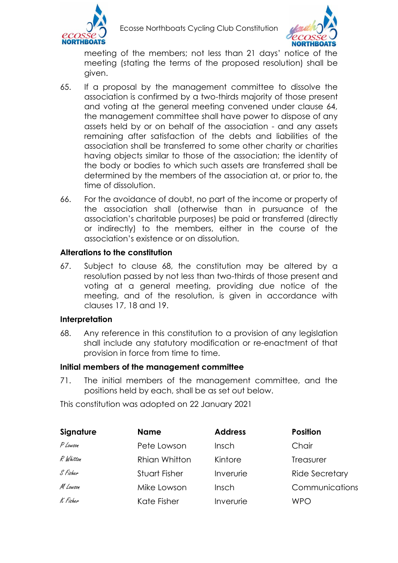

Ecosse Northboats Cycling Club Constitution



meeting of the members; not less than 21 days' notice of the meeting (stating the terms of the proposed resolution) shall be given.

- 65. If a proposal by the management committee to dissolve the association is confirmed by a two-thirds majority of those present and voting at the general meeting convened under clause 64, the management committee shall have power to dispose of any assets held by or on behalf of the association - and any assets remaining after satisfaction of the debts and liabilities of the association shall be transferred to some other charity or charities having objects similar to those of the association; the identity of the body or bodies to which such assets are transferred shall be determined by the members of the association at, or prior to, the time of dissolution.
- 66. For the avoidance of doubt, no part of the income or property of the association shall (otherwise than in pursuance of the association's charitable purposes) be paid or transferred (directly or indirectly) to the members, either in the course of the association's existence or on dissolution.

#### **Alterations to the constitution**

67. Subject to clause 68, the constitution may be altered by a resolution passed by not less than two-thirds of those present and voting at a general meeting, providing due notice of the meeting, and of the resolution, is given in accordance with clauses 17, 18 and 19.

#### **Interpretation**

68. Any reference in this constitution to a provision of any legislation shall include any statutory modification or re-enactment of that provision in force from time to time.

### **Initial members of the management committee**

71. The initial members of the management committee, and the positions held by each, shall be as set out below.

This constitution was adopted on 22 January 2021

| Signature | <b>Name</b>   | <b>Address</b> | <b>Position</b>       |
|-----------|---------------|----------------|-----------------------|
| P Lowson  | Pete Lowson   | Insch          | Chair                 |
| R Whitton | Rhian Whitton | Kintore        | <b>Treasurer</b>      |
| S Fisher  | Stuart Fisher | Inverurie      | <b>Ride Secretary</b> |
| M Lowson  | Mike Lowson   | Insch          | Communications        |
| K Fisher  | Kate Fisher   | Inverurie      | <b>WPO</b>            |